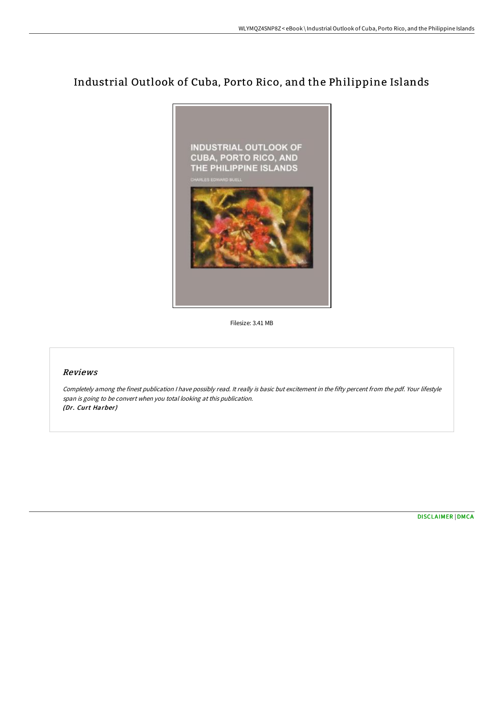# Industrial Outlook of Cuba, Porto Rico, and the Philippine Islands



Filesize: 3.41 MB

# Reviews

Completely among the finest publication <sup>I</sup> have possibly read. It really is basic but excitement in the fifty percent from the pdf. Your lifestyle span is going to be convert when you total looking at this publication. (Dr. Curt Harber)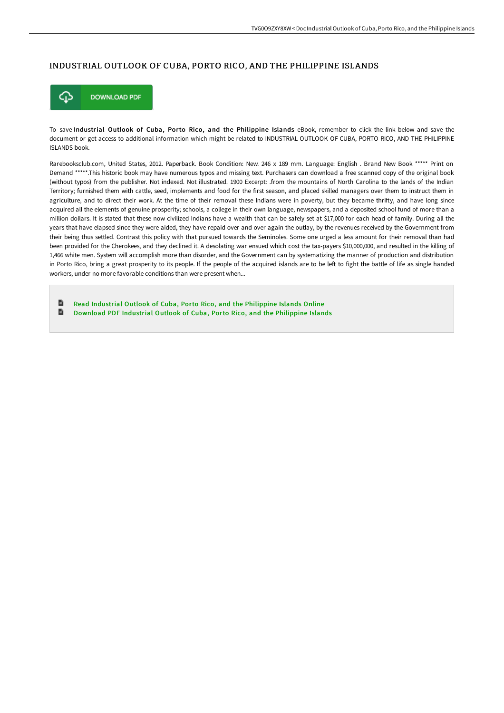### INDUSTRIAL OUTLOOK OF CUBA, PORTO RICO, AND THE PHILIPPINE ISLANDS



To save Industrial Outlook of Cuba, Porto Rico, and the Philippine Islands eBook, remember to click the link below and save the document or get access to additional information which might be related to INDUSTRIAL OUTLOOK OF CUBA, PORTO RICO, AND THE PHILIPPINE ISLANDS book.

Rarebooksclub.com, United States, 2012. Paperback. Book Condition: New. 246 x 189 mm. Language: English . Brand New Book \*\*\*\*\* Print on Demand \*\*\*\*\*.This historic book may have numerous typos and missing text. Purchasers can download a free scanned copy of the original book (without typos) from the publisher. Not indexed. Not illustrated. 1900 Excerpt: .from the mountains of North Carolina to the lands of the Indian Territory; furnished them with cattle, seed, implements and food for the first season, and placed skilled managers over them to instruct them in agriculture, and to direct their work. At the time of their removal these Indians were in poverty, but they became thrifty, and have long since acquired all the elements of genuine prosperity; schools, a college in their own language, newspapers, and a deposited school fund of more than a million dollars. It is stated that these now civilized Indians have a wealth that can be safely set at \$17,000 for each head of family. During all the years that have elapsed since they were aided, they have repaid over and over again the outlay, by the revenues received by the Government from their being thus settled. Contrast this policy with that pursued towards the Seminoles. Some one urged a less amount for their removal than had been provided for the Cherokees, and they declined it. A desolating war ensued which cost the tax-payers \$10,000,000, and resulted in the killing of 1,466 white men. System will accomplish more than disorder, and the Government can by systematizing the manner of production and distribution in Porto Rico, bring a great prosperity to its people. If the people of the acquired islands are to be left to fight the battle of life as single handed workers, under no more favorable conditions than were present when...

B Read Industrial Outlook of Cuba, Porto Rico, and the [Philippine](http://bookera.tech/industrial-outlook-of-cuba-porto-rico-and-the-ph.html) Islands Online  $\blacksquare$ Download PDF Industrial Outlook of Cuba, Porto Rico, and the [Philippine](http://bookera.tech/industrial-outlook-of-cuba-porto-rico-and-the-ph.html) Islands